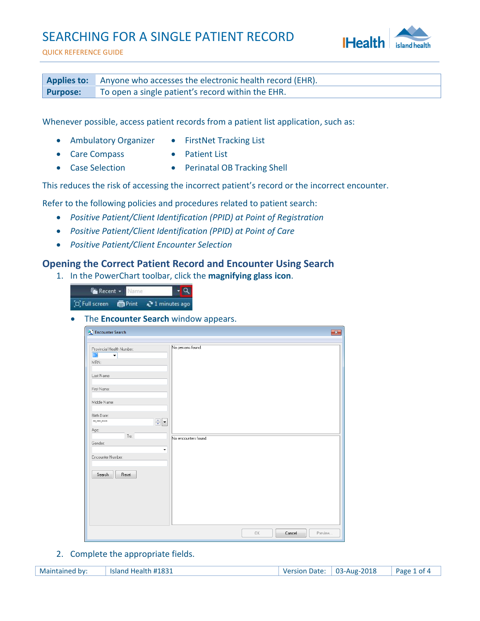## SEARCHING FOR A SINGLE PATIENT RECORD



QUICK REFERENCE GUIDE

**Applies to:** Anyone who accesses the electronic health record (EHR). **Purpose:** To open a single patient's record within the EHR.

Whenever possible, access patient records from a patient list application, such as:

- Ambulatory Organizer FirstNet Tracking List
	-
- Care Compass Patient List
	-
- 
- Case Selection Perinatal OB Tracking Shell

This reduces the risk of accessing the incorrect patient's record or the incorrect encounter.

Refer to the following policies and procedures related to patient search:

- *Positive Patient/Client Identification (PPID) at Point of Registration*
- *Positive Patient/Client Identification (PPID) at Point of Care*
- *Positive Patient/Client Encounter Selection*

## **Opening the Correct Patient Record and Encounter Using Search**

1. In the PowerChart toolbar, click the **magnifying glass icon**.



The **Encounter Search** window appears.

| Encounter Search                                                                                                                                                                                                                                                                        | $\overline{\mathbf{x}}$                   |
|-----------------------------------------------------------------------------------------------------------------------------------------------------------------------------------------------------------------------------------------------------------------------------------------|-------------------------------------------|
| Provincial Health Number:<br>BC<br>$\overline{\phantom{a}}$<br>MRN:<br>Last Name:<br>First Name:<br>Middle Name:<br>Birth Date:<br>$\frac{\triangle}{\mathbf{v}}$ $\mathbf{v}$<br>xx_xxx_xxxx<br>Age:<br>To:<br>Gender:<br>$\blacktriangledown$<br>Encounter Number:<br>Search<br>Reset | No persons found.<br>No encounters found. |
|                                                                                                                                                                                                                                                                                         | 0K<br>Cancel<br>Preview                   |

2. Complete the appropriate fields.

Maintained by: Island Health #1831 Version Date: 03-Aug-2018 Page 1 of 4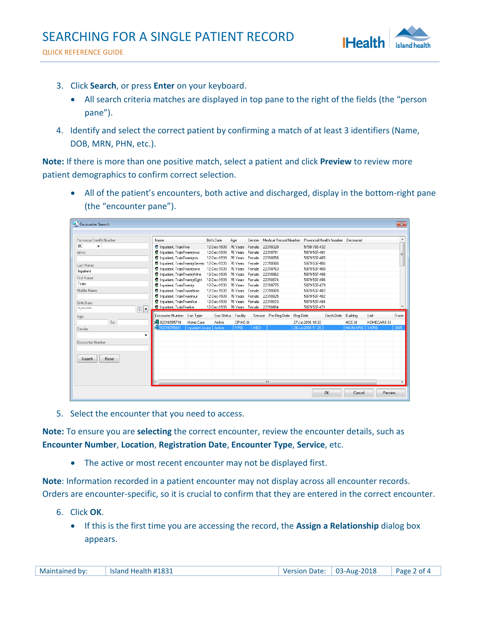QUICK REFERENCE GUIDE



- 3. Click **Search**, or press **Enter** on your keyboard.
	- All search criteria matches are displayed in top pane to the right of the fields (the "person pane").
- 4. Identify and select the correct patient by confirming a match of at least 3 identifiers (Name, DOB, MRN, PHN, etc.).

**Note:** If there is more than one positive match, select a patient and click **Preview** to review more patient demographics to confirm correct selection.

 All of the patient's encounters, both active and discharged, display in the bottom-right pane (the "encounter pane").

| <b>C</b> Encounter Search                      |                                            |                        |                                      |                     |            |                               |                   |                                   |                 |             | $\mathbf{x}$     |
|------------------------------------------------|--------------------------------------------|------------------------|--------------------------------------|---------------------|------------|-------------------------------|-------------------|-----------------------------------|-----------------|-------------|------------------|
|                                                |                                            |                        |                                      |                     |            |                               |                   |                                   |                 |             |                  |
| Provincial Health Number:                      | Name                                       |                        | <b>Birth Date</b>                    | Age                 | Gender     | Medical Record Number         |                   | Provincial Health Number Deceased |                 |             | $\blacktriangle$ |
| BC.<br>۰                                       | <b>12</b> Inpatient, TrainTwo              |                        | 12-Dec-1939                          | 76 Years Female     |            | 22310320                      | 5798-765-432      |                                   |                 |             |                  |
| MRN:                                           | <b>B</b> Inpatient, TrainTwentytwo         |                        | 12-Dec-1939                          | 76 Years Female     |            | 22310791                      | 5879-537-481      |                                   |                 |             | Ξ                |
|                                                | <b>2</b> Inpatient, TrainTwentysix         |                        | 12-Dec-1939                          | 76 Years Female     |            | 22310858                      | 5879-537-485      |                                   |                 |             |                  |
| Last Name:                                     | 12 Inpatient, TrainTwentvSeven 12-Dec-1939 |                        |                                      | 76 Years Female     |            | 22310866                      | 5879-537-486      |                                   |                 |             |                  |
| Inpatient                                      | <b>2</b> Inpatient, TrainTwentyone         |                        | 12-Dec-1939                          | 76 Years Female     |            | 22310783                      | 5879-537-480      |                                   |                 |             |                  |
| First Name:                                    | <b>2</b> Inpatient, TrainTwentvNine        |                        | 13-Dec-1939                          | 76 Years Female     |            | 22310882                      | 5879-537-488      |                                   |                 |             |                  |
|                                                | <b>R</b> Inpatient, TrainTwentyEight       |                        | 12-Dec-1939                          | 76 Years Female     |            | 22310874                      | 5879-537-486      |                                   |                 |             |                  |
| Train                                          | <b>D</b> Inpatient, TrainTwenty            |                        | 12-Dec-1939                          | 76 Years Female     |            | 22310775                      | 5879-537-479      |                                   |                 |             |                  |
| Middle Name:                                   | <b>D</b> Inpatient, TrainTwenthree         |                        | 12-Dec-1939                          | 76 Years Female     |            | 22310809                      | 5879-537-482      |                                   |                 |             |                  |
|                                                | <b>B</b> Inpatient, TrainTwenfour          |                        | 12-Dec-1939                          | 76 Years Female     |            | 22310825                      | 5879-537-482      |                                   |                 |             |                  |
| Birth Date:                                    | <b>2</b> Inpatient, TrainTwenfive          |                        | 12-Dec-1939                          | 76 Years Female     |            | 22310833                      | 5879-537-484      |                                   |                 |             |                  |
| $\div$ $\overline{\phantom{a}}$<br>ни кин кини | <b>12</b> Inpatient, TrainTwelve           |                        | 12-Dec-1939 76 Years Female 22310494 |                     |            |                               | 5879-537-471      |                                   |                 |             |                  |
| Age:                                           | Encounter Number Enc Type                  |                        |                                      | Enc Status Facility |            | Service Pre-Reg Date Reg Date |                   | Disch Date Building               |                 | Unit        | Room             |
| To:                                            | 92016595716                                | Home Care              | Active                               | CP-HC-SI            |            |                               | 27-Jul-2016 10:32 |                                   | HCC-SI          | HOMECARE-SI |                  |
| Gender:                                        | M<br>92016595641                           | <b>Inpatient Acute</b> | Active                               | <b>NRG</b>          | <b>MED</b> |                               | 26-Jul-2016 11:26 |                                   | <b>MAIN-NRG</b> | 3-NRG       | 3005             |
| ۰                                              |                                            |                        |                                      |                     |            |                               |                   |                                   |                 |             |                  |
|                                                |                                            |                        |                                      |                     |            |                               |                   |                                   |                 |             |                  |
| Encounter Number:                              |                                            |                        |                                      |                     |            |                               |                   |                                   |                 |             |                  |
|                                                |                                            |                        |                                      |                     |            |                               |                   |                                   |                 |             |                  |
| Search<br>Reset                                |                                            |                        |                                      |                     |            |                               |                   |                                   |                 |             |                  |
|                                                |                                            |                        |                                      |                     |            |                               |                   |                                   |                 |             |                  |
|                                                |                                            |                        |                                      |                     |            |                               |                   |                                   |                 |             |                  |
|                                                |                                            |                        |                                      |                     |            |                               |                   |                                   |                 |             |                  |
|                                                |                                            |                        |                                      |                     |            | m.                            |                   |                                   |                 |             |                  |
|                                                |                                            |                        |                                      |                     |            |                               |                   |                                   |                 |             |                  |
|                                                |                                            |                        |                                      |                     |            |                               |                   |                                   |                 |             |                  |
|                                                |                                            |                        |                                      |                     |            |                               |                   | 0K                                | Cancel          | Preview     |                  |

5. Select the encounter that you need to access.

**Note:** To ensure you are **selecting** the correct encounter, review the encounter details, such as **Encounter Number**, **Location**, **Registration Date**, **Encounter Type**, **Service**, etc.

• The active or most recent encounter may not be displayed first.

**Note**: Information recorded in a patient encounter may not display across all encounter records. Orders are encounter-specific, so it is crucial to confirm that they are entered in the correct encounter.

- 6. Click **OK**.
	- If this is the first time you are accessing the record, the **Assign a Relationship** dialog box appears.

| Maintained by: | Island Health #1831 | Version Date: 03-Aug-2018 | Page 2 of 4 |
|----------------|---------------------|---------------------------|-------------|
|                |                     |                           |             |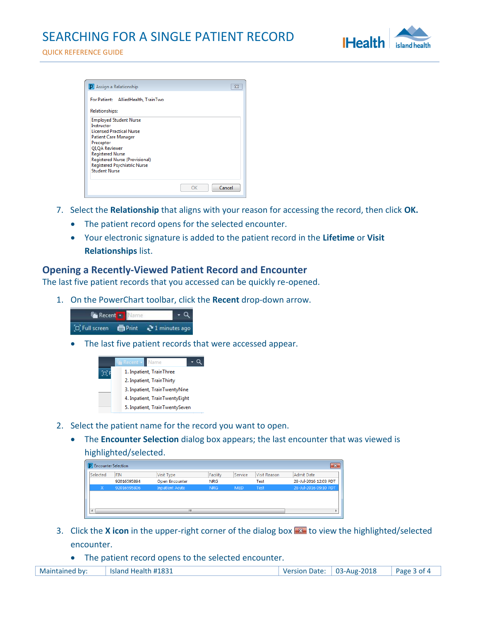

| For Patient: AlliedHealth, TrainTwo                                   |  |
|-----------------------------------------------------------------------|--|
| <b>Relationships:</b>                                                 |  |
| <b>Employed Student Nurse</b>                                         |  |
| Instructor<br><b>Licensed Practical Nurse</b>                         |  |
| Patient Care Manager                                                  |  |
| Preceptor                                                             |  |
| <b>QI, QA Reviewer</b>                                                |  |
| <b>Registered Nurse</b>                                               |  |
| Registered Nurse (Provisional)<br><b>Registered Psychiatric Nurse</b> |  |
| <b>Student Nurse</b>                                                  |  |
|                                                                       |  |

- 7. Select the **Relationship** that aligns with your reason for accessing the record, then click **OK.**
	- The patient record opens for the selected encounter.
	- Your electronic signature is added to the patient record in the **Lifetime** or **Visit Relationships** list.

## **Opening a Recently-Viewed Patient Record and Encounter**

The last five patient records that you accessed can be quickly re-opened.

1. On the PowerChart toolbar, click the **Recent** drop-down arrow.



The last five patient records that were accessed appear.

| Name<br>Recent <b>*</b>        |
|--------------------------------|
| 1. Inpatient, TrainThree       |
| 2. Inpatient, TrainThirty      |
| 3. Inpatient, TrainTwentyNine  |
| 4. Inpatient, TrainTwentyEight |
| 5. Inpatient, TrainTwentySeven |

- 2. Select the patient name for the record you want to open.
	- The **Encounter Selection** dialog box appears; the last encounter that was viewed is

highlighted/selected.

| <b>P</b> Encounter Selection |             |                        |            |            |              | $\mathbf{z}$          |
|------------------------------|-------------|------------------------|------------|------------|--------------|-----------------------|
| Selected                     | <b>FIN</b>  | Visit Type             | Facility   | Service    | Visit Reason | Admit Date            |
|                              | 92016595894 | <b>Open Encounter</b>  | <b>NRG</b> |            | Test         | 28-Jul-2016 12:03 PDT |
| x                            | 92016595806 | <b>Inpatient Acute</b> | <b>NRG</b> | <b>MED</b> | Test         | 28-Jul-2016 09:10 PDT |
|                              |             |                        |            |            |              |                       |
|                              |             |                        |            |            |              |                       |
| $\leftarrow$                 |             | m                      |            |            |              |                       |
|                              |             |                        |            |            |              |                       |

- 3. Click the **X icon** in the upper-right corner of the dialog box **x** to view the highlighted/selected encounter.
	- The patient record opens to the selected encounter.

| Maintained by: | Island Health #1831 | Version Date: $\vert$ 03-Aug-2018 | $\vert$ Page 3 of 4 |
|----------------|---------------------|-----------------------------------|---------------------|
|                |                     |                                   |                     |